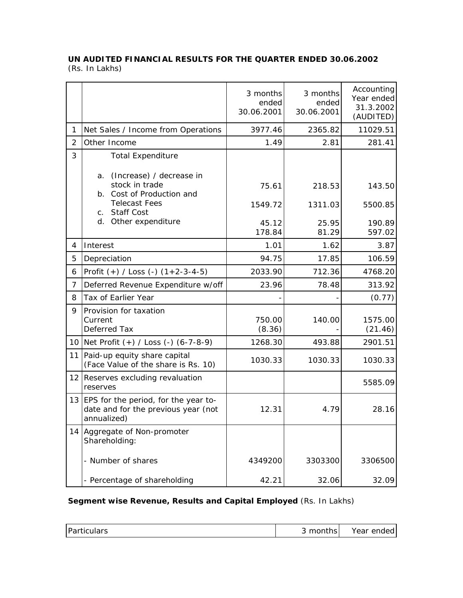## **UN AUDITED FINANCIAL RESULTS FOR THE QUARTER ENDED 30.06.2002**  (Rs. In Lakhs)

|                |                                                                                                                                                                              | 3 months<br>ended<br>30.06.2001 | 3 months<br>ended<br>30.06.2001 | Accounting<br>Year ended<br>31.3.2002<br>(AUDITED) |
|----------------|------------------------------------------------------------------------------------------------------------------------------------------------------------------------------|---------------------------------|---------------------------------|----------------------------------------------------|
| 1              | Net Sales / Income from Operations                                                                                                                                           | 3977.46                         | 2365.82                         | 11029.51                                           |
| $\overline{2}$ | Other Income                                                                                                                                                                 | 1.49                            | 2.81                            | 281.41                                             |
| 3              | <b>Total Expenditure</b>                                                                                                                                                     |                                 |                                 |                                                    |
|                | (Increase) / decrease in<br>a.<br>stock in trade<br>Cost of Production and<br>$b_{\cdot}$<br><b>Telecast Fees</b><br><b>Staff Cost</b><br>$C_{1}$<br>Other expenditure<br>d. | 75.61<br>1549.72<br>45.12       | 218.53<br>1311.03<br>25.95      | 143.50<br>5500.85<br>190.89                        |
|                |                                                                                                                                                                              | 178.84                          | 81.29                           | 597.02                                             |
| 4              | Interest                                                                                                                                                                     | 1.01                            | 1.62                            | 3.87                                               |
| 5              | Depreciation                                                                                                                                                                 | 94.75                           | 17.85                           | 106.59                                             |
| 6              | Profit $(+)$ / Loss $(-)$ $(1+2-3-4-5)$                                                                                                                                      | 2033.90                         | 712.36                          | 4768.20                                            |
| 7              | Deferred Revenue Expenditure w/off                                                                                                                                           | 23.96                           | 78.48                           | 313.92                                             |
| 8              | Tax of Earlier Year                                                                                                                                                          |                                 |                                 | (0.77)                                             |
| 9              | Provision for taxation<br>Current<br>Deferred Tax                                                                                                                            | 750.00<br>(8.36)                | 140.00                          | 1575.00<br>(21.46)                                 |
| 10             | Net Profit (+) / Loss (-) (6-7-8-9)                                                                                                                                          | 1268.30                         | 493.88                          | 2901.51                                            |
| 11             | Paid-up equity share capital<br>(Face Value of the share is Rs. 10)                                                                                                          | 1030.33                         | 1030.33                         | 1030.33                                            |
|                | 12 Reserves excluding revaluation<br>reserves                                                                                                                                |                                 |                                 | 5585.09                                            |
| 13             | EPS for the period, for the year to-<br>date and for the previous year (not<br>annualized)                                                                                   | 12.31                           | 4.79                            | 28.16                                              |
|                | 14 Aggregate of Non-promoter<br>Shareholding:                                                                                                                                |                                 |                                 |                                                    |
|                | - Number of shares                                                                                                                                                           | 4349200                         | 3303300                         | 3306500                                            |
|                | - Percentage of shareholding                                                                                                                                                 | 42.21                           | 32.06                           | 32.09                                              |

## **Segment wise Revenue, Results and Capital Employed** (Rs. In Lakhs)

| Particulars | months | Year ended |
|-------------|--------|------------|
|-------------|--------|------------|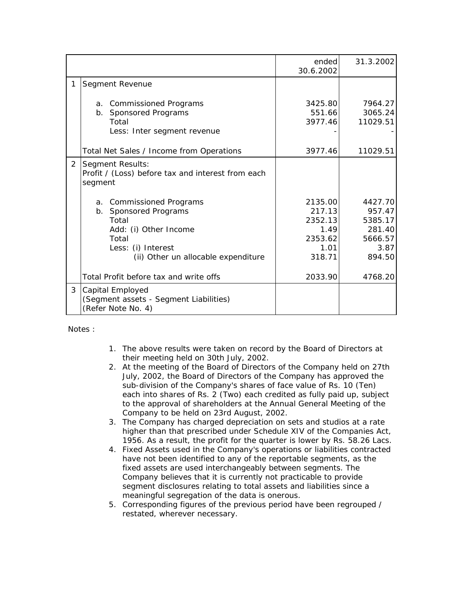|                |                                                                                                                                                           | ended<br>30.6.2002                                                | 31.3.2002                                                           |
|----------------|-----------------------------------------------------------------------------------------------------------------------------------------------------------|-------------------------------------------------------------------|---------------------------------------------------------------------|
| 1              | Segment Revenue                                                                                                                                           |                                                                   |                                                                     |
|                | a. Commissioned Programs<br>b. Sponsored Programs<br>Total<br>Less: Inter segment revenue                                                                 | 3425.80<br>551.66<br>3977.46                                      | 7964.27<br>3065.24<br>11029.51                                      |
|                | Total Net Sales / Income from Operations                                                                                                                  | 3977.46                                                           | 11029.51                                                            |
| $\overline{2}$ | Segment Results:<br>Profit / (Loss) before tax and interest from each<br>segment                                                                          |                                                                   |                                                                     |
|                | a. Commissioned Programs<br>b. Sponsored Programs<br>Total<br>Add: (i) Other Income<br>Total<br>Less: (i) Interest<br>(ii) Other un allocable expenditure | 2135.00<br>217.13<br>2352.13<br>1.49<br>2353.62<br>1.01<br>318.71 | 4427.70<br>957.47<br>5385.17<br>281.40<br>5666.57<br>3.87<br>894.50 |
|                | Total Profit before tax and write offs                                                                                                                    | 2033.90                                                           | 4768.20                                                             |
| 3              | Capital Employed<br>(Segment assets - Segment Liabilities)<br>(Refer Note No. 4)                                                                          |                                                                   |                                                                     |

Notes :

- 1. The above results were taken on record by the Board of Directors at their meeting held on 30th July, 2002.
- 2. At the meeting of the Board of Directors of the Company held on 27th July, 2002, the Board of Directors of the Company has approved the sub-division of the Company's shares of face value of Rs. 10 (Ten) each into shares of Rs. 2 (Two) each credited as fully paid up, subject to the approval of shareholders at the Annual General Meeting of the Company to be held on 23rd August, 2002.
- 3. The Company has charged depreciation on sets and studios at a rate higher than that prescribed under Schedule XIV of the Companies Act, 1956. As a result, the profit for the quarter is lower by Rs. 58.26 Lacs.
- 4. Fixed Assets used in the Company's operations or liabilities contracted have not been identified to any of the reportable segments, as the fixed assets are used interchangeably between segments. The Company believes that it is currently not practicable to provide segment disclosures relating to total assets and liabilities since a meaningful segregation of the data is onerous.
- 5. Corresponding figures of the previous period have been regrouped / restated, wherever necessary.